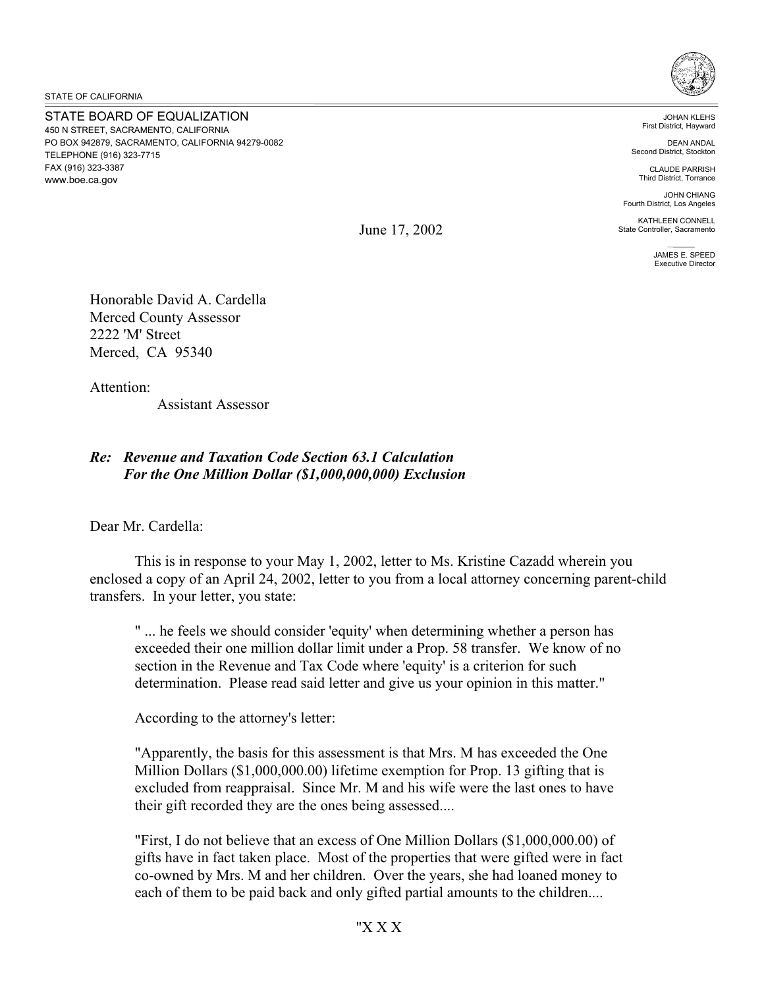STATE OF CALIFORNIA

STATE BOARD OF EQUALIZATION 450 N STREET, SACRAMENTO, CALIFORNIA PO BOX 942879, SACRAMENTO, CALIFORNIA 94279-0082 TELEPHONE (916) 323-7715 FAX (916) 323-3387 <www.boe.ca.gov>



JOHAN KLEHS First District, Hayward

DEAN ANDAL Second District, Stockton

CLAUDE PARRISH Third District, Torrance

JOHN CHIANG Fourth District, Los Angeles

KATHLEEN CONNELL State Controller, Sacramento

> JAMES E. SPEED Executive Director

June 17, 2002

Honorable David A. Cardella Merced County Assessor 2222 'M' Street Merced, CA 95340

Attention:

Assistant Assessor

## *Re: Revenue and Taxation Code Section 63.1 Calculation For the One Million Dollar (\$1,000,000,000) Exclusion*

Dear Mr. Cardella:

This is in response to your May 1, 2002, letter to Ms. Kristine Cazadd wherein you enclosed a copy of an April 24, 2002, letter to you from a local attorney concerning parent-child transfers. In your letter, you state:

" ... he feels we should consider 'equity' when determining whether a person has exceeded their one million dollar limit under a Prop. 58 transfer. We know of no section in the Revenue and Tax Code where 'equity' is a criterion for such determination. Please read said letter and give us your opinion in this matter."

According to the attorney's letter:

"Apparently, the basis for this assessment is that Mrs. M has exceeded the One Million Dollars ([\\$1,000,000.00\)](https://1,000,000.00) lifetime exemption for Prop. 13 gifting that is excluded from reappraisal. Since Mr. M and his wife were the last ones to have their gift recorded they are the ones being assessed....

"First, I do not believe that an excess of One Million Dollars ([\\$1,000,000.00](https://1,000,000.00)) of gifts have in fact taken place. Most of the properties that were gifted were in fact co-owned by Mrs. M and her children. Over the years, she had loaned money to each of them to be paid back and only gifted partial amounts to the children....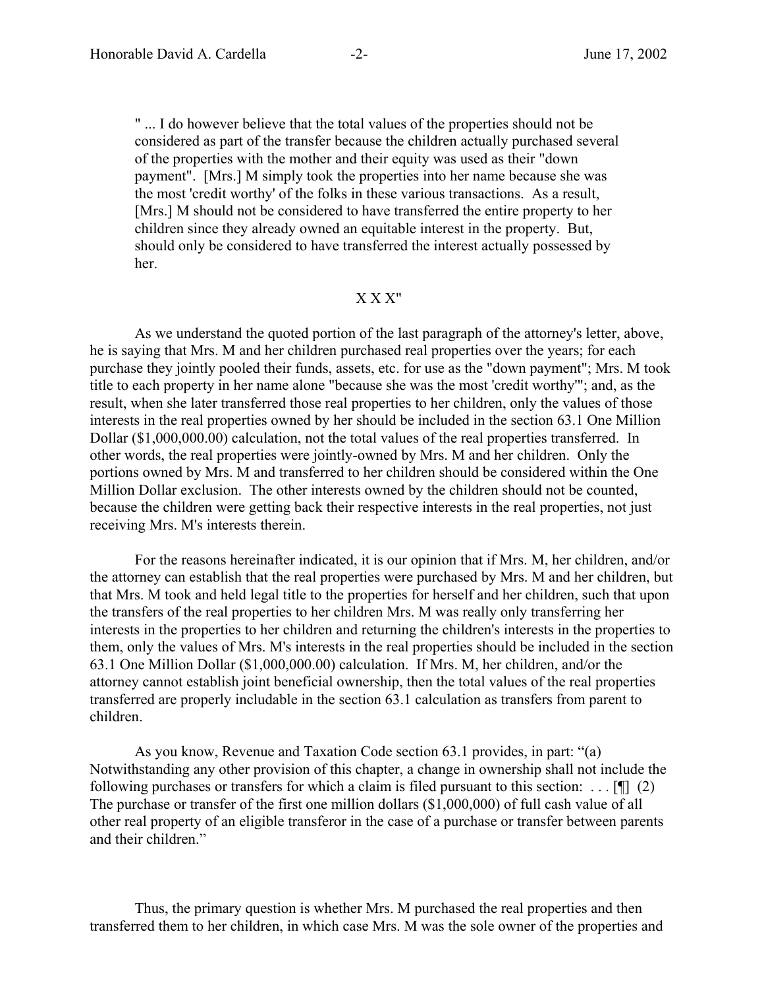" ... I do however believe that the total values of the properties should not be considered as part of the transfer because the children actually purchased several of the properties with the mother and their equity was used as their "down payment". [Mrs.] M simply took the properties into her name because she was the most 'credit worthy' of the folks in these various transactions. As a result, [Mrs.] M should not be considered to have transferred the entire property to her children since they already owned an equitable interest in the property. But, should only be considered to have transferred the interest actually possessed by her.

## X X X"

As we understand the quoted portion of the last paragraph of the attorney's letter, above, he is saying that Mrs. M and her children purchased real properties over the years; for each purchase they jointly pooled their funds, assets, etc. for use as the "down payment"; Mrs. M took title to each property in her name alone "because she was the most 'credit worthy'"; and, as the result, when she later transferred those real properties to her children, only the values of those interests in the real properties owned by her should be included in the section 63.1 One Million Dollar (\$[1,000,000.00\)](https://1,000,000.00) calculation, not the total values of the real properties transferred. In other words, the real properties were jointly-owned by Mrs. M and her children. Only the portions owned by Mrs. M and transferred to her children should be considered within the One Million Dollar exclusion. The other interests owned by the children should not be counted, because the children were getting back their respective interests in the real properties, not just receiving Mrs. M's interests therein.

For the reasons hereinafter indicated, it is our opinion that if Mrs. M, her children, and/or the attorney can establish that the real properties were purchased by Mrs. M and her children, but that Mrs. M took and held legal title to the properties for herself and her children, such that upon the transfers of the real properties to her children Mrs. M was really only transferring her interests in the properties to her children and returning the children's interests in the properties to them, only the values of Mrs. M's interests in the real properties should be included in the section 63.1 One Million Dollar (\$[1,000,000.00\)](https://1,000,000.00) calculation. If Mrs. M, her children, and/or the attorney cannot establish joint beneficial ownership, then the total values of the real properties transferred are properly includable in the section 63.1 calculation as transfers from parent to children.

As you know, Revenue and Taxation Code section 63.1 provides, in part: "(a) Notwithstanding any other provision of this chapter, a change in ownership shall not include the following purchases or transfers for which a claim is filed pursuant to this section: ... [ $\parallel$ ] (2) The purchase or transfer of the first one million dollars (\$1,000,000) of full cash value of all other real property of an eligible transferor in the case of a purchase or transfer between parents and their children."

Thus, the primary question is whether Mrs. M purchased the real properties and then transferred them to her children, in which case Mrs. M was the sole owner of the properties and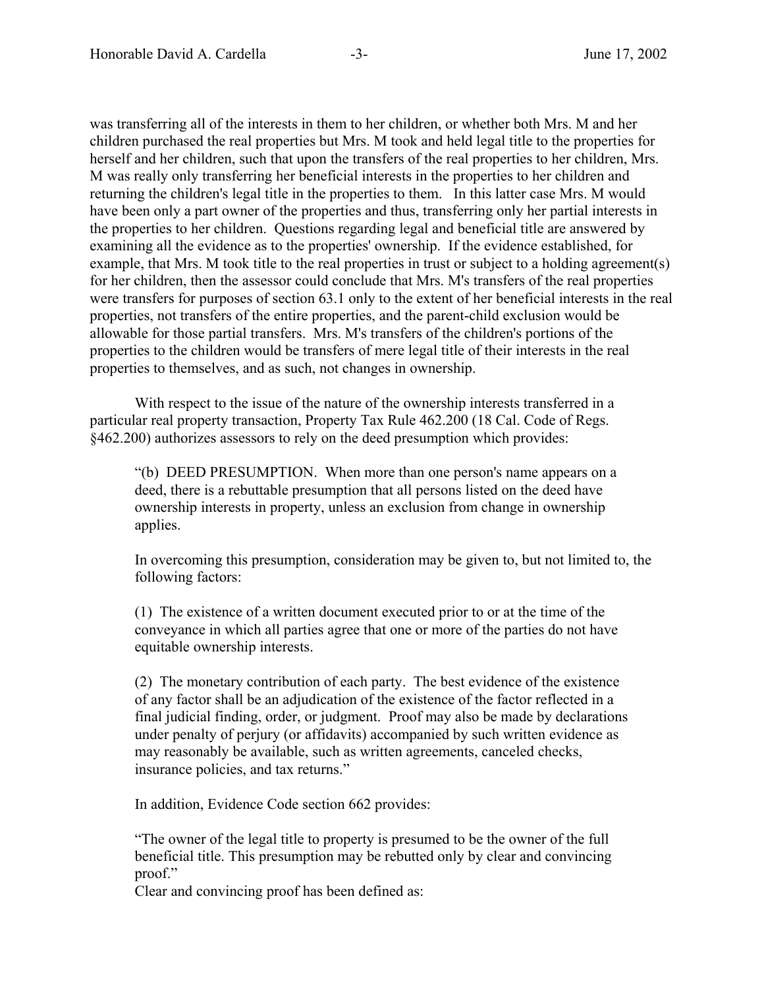was transferring all of the interests in them to her children, or whether both Mrs. M and her children purchased the real properties but Mrs. M took and held legal title to the properties for herself and her children, such that upon the transfers of the real properties to her children, Mrs. M was really only transferring her beneficial interests in the properties to her children and returning the children's legal title in the properties to them. In this latter case Mrs. M would have been only a part owner of the properties and thus, transferring only her partial interests in the properties to her children. Questions regarding legal and beneficial title are answered by examining all the evidence as to the properties' ownership. If the evidence established, for example, that Mrs. M took title to the real properties in trust or subject to a holding agreement(s) for her children, then the assessor could conclude that Mrs. M's transfers of the real properties were transfers for purposes of section 63.1 only to the extent of her beneficial interests in the real properties, not transfers of the entire properties, and the parent-child exclusion would be allowable for those partial transfers. Mrs. M's transfers of the children's portions of the properties to the children would be transfers of mere legal title of their interests in the real properties to themselves, and as such, not changes in ownership.

With respect to the issue of the nature of the ownership interests transferred in a particular real property transaction, Property Tax Rule 462.200 (18 Cal. Code of Regs. §462.200) authorizes assessors to rely on the deed presumption which provides:

 "(b) DEED PRESUMPTION. When more than one person's name appears on a deed, there is a rebuttable presumption that all persons listed on the deed have ownership interests in property, unless an exclusion from change in ownership applies.

In overcoming this presumption, consideration may be given to, but not limited to, the following factors:

(1) The existence of a written document executed prior to or at the time of the conveyance in which all parties agree that one or more of the parties do not have equitable ownership interests.

(2) The monetary contribution of each party. The best evidence of the existence of any factor shall be an adjudication of the existence of the factor reflected in a final judicial finding, order, or judgment. Proof may also be made by declarations under penalty of perjury (or affidavits) accompanied by such written evidence as may reasonably be available, such as written agreements, canceled checks, insurance policies, and tax returns."

In addition, Evidence Code section 662 provides:

"The owner of the legal title to property is presumed to be the owner of the full beneficial title. This presumption may be rebutted only by clear and convincing proof."

Clear and convincing proof has been defined as: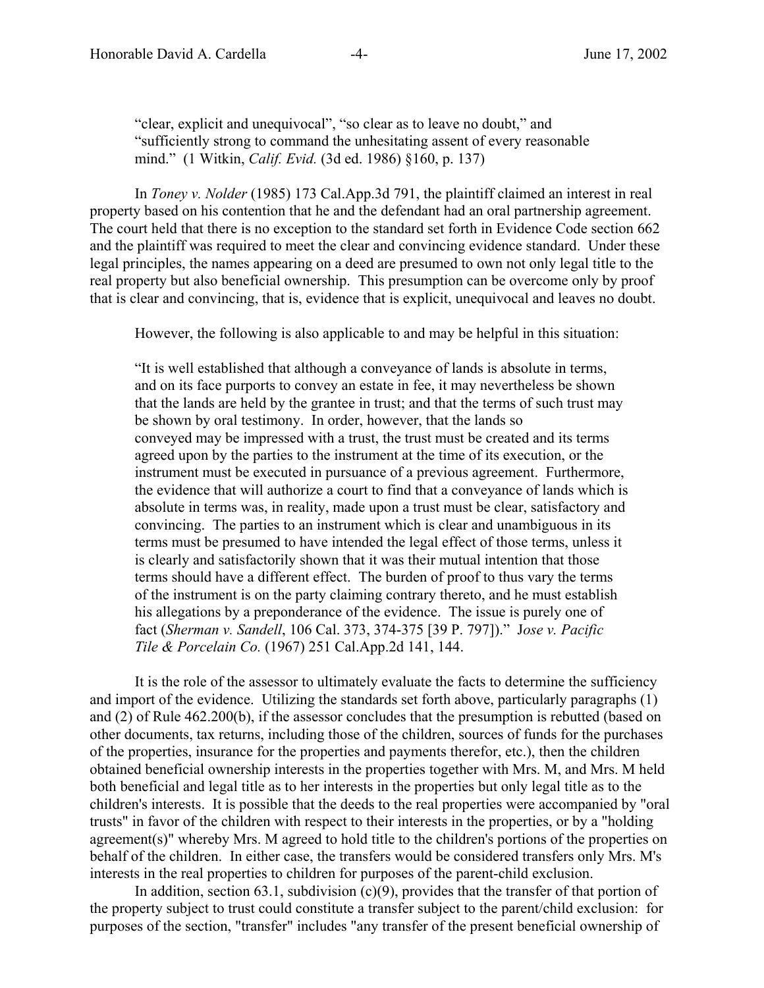"clear, explicit and unequivocal", "so clear as to leave no doubt," and "sufficiently strong to command the unhesitating assent of every reasonable mind." (1 Witkin, *Calif. Evid.* (3d ed. 1986) §160, p. 137)

In *Toney v. Nolder* (1985) 173 [Cal.App.3d](https://Cal.App.3d) 791, the plaintiff claimed an interest in real property based on his contention that he and the defendant had an oral partnership agreement. The court held that there is no exception to the standard set forth in Evidence Code section 662 and the plaintiff was required to meet the clear and convincing evidence standard. Under these legal principles, the names appearing on a deed are presumed to own not only legal title to the real property but also beneficial ownership. This presumption can be overcome only by proof that is clear and convincing, that is, evidence that is explicit, unequivocal and leaves no doubt.

However, the following is also applicable to and may be helpful in this situation:

"It is well established that although a conveyance of lands is absolute in terms, and on its face purports to convey an estate in fee, it may nevertheless be shown that the lands are held by the grantee in trust; and that the terms of such trust may be shown by oral testimony. In order, however, that the lands so conveyed may be impressed with a trust, the trust must be created and its terms agreed upon by the parties to the instrument at the time of its execution, or the instrument must be executed in pursuance of a previous agreement. Furthermore, the evidence that will authorize a court to find that a conveyance of lands which is absolute in terms was, in reality, made upon a trust must be clear, satisfactory and convincing. The parties to an instrument which is clear and unambiguous in its terms must be presumed to have intended the legal effect of those terms, unless it is clearly and satisfactorily shown that it was their mutual intention that those terms should have a different effect. The burden of proof to thus vary the terms of the instrument is on the party claiming contrary thereto, and he must establish his allegations by a preponderance of the evidence. The issue is purely one of fact (*Sherman v. Sandell*, 106 Cal. 373, 374-375 [39 P. 797])." J*ose v. Pacific Tile & Porcelain Co.* (1967) 251 [Cal.App.2d](https://Cal.App.2d) 141, 144.

It is the role of the assessor to ultimately evaluate the facts to determine the sufficiency and import of the evidence. Utilizing the standards set forth above, particularly paragraphs (1) and (2) of Rule 462.200(b), if the assessor concludes that the presumption is rebutted (based on other documents, tax returns, including those of the children, sources of funds for the purchases of the properties, insurance for the properties and payments therefor, etc.), then the children obtained beneficial ownership interests in the properties together with Mrs. M, and Mrs. M held both beneficial and legal title as to her interests in the properties but only legal title as to the children's interests. It is possible that the deeds to the real properties were accompanied by "oral trusts" in favor of the children with respect to their interests in the properties, or by a "holding agreement(s)" whereby Mrs. M agreed to hold title to the children's portions of the properties on behalf of the children. In either case, the transfers would be considered transfers only Mrs. M's interests in the real properties to children for purposes of the parent-child exclusion.

In addition, section 63.1, subdivision  $(c)(9)$ , provides that the transfer of that portion of the property subject to trust could constitute a transfer subject to the parent/child exclusion: for purposes of the section, "transfer" includes "any transfer of the present beneficial ownership of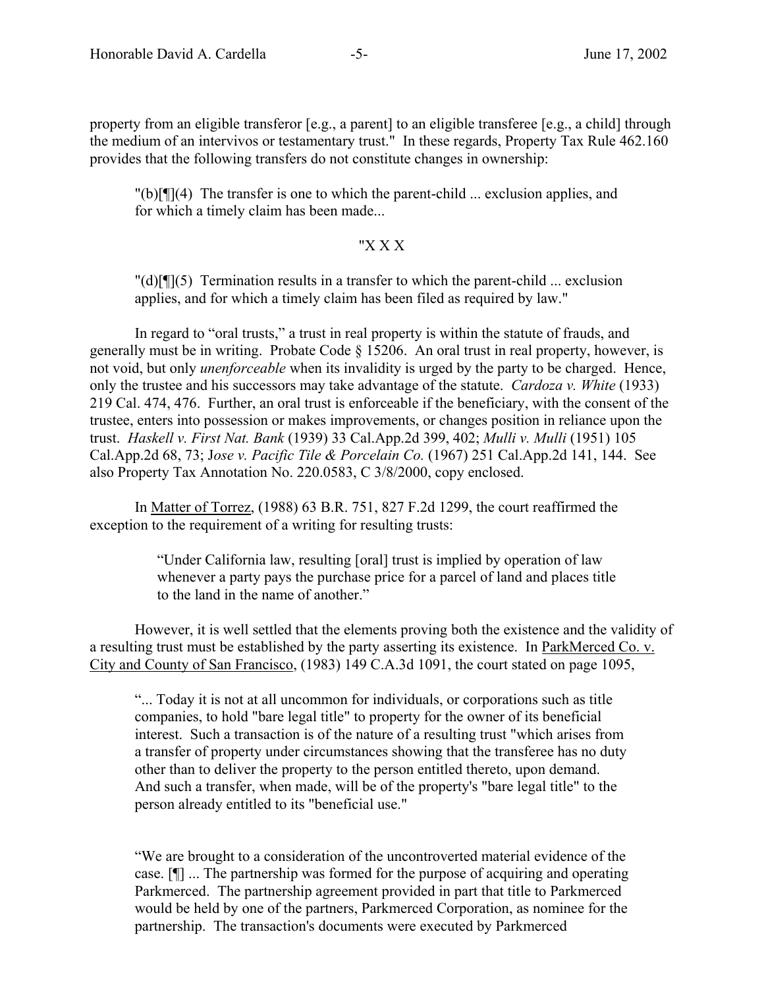property from an eligible transferor [e.g., a parent] to an eligible transferee [e.g., a child] through the medium of an intervivos or testamentary trust." In these regards, Property Tax Rule 462.160 provides that the following transfers do not constitute changes in ownership:

 $\Gamma(b)$ [ $\Gamma(A)$ ] The transfer is one to which the parent-child ... exclusion applies, and for which a timely claim has been made...

## "X X X

 $\text{H}(d)[\text{H}](5)$  Termination results in a transfer to which the parent-child ... exclusion applies, and for which a timely claim has been filed as required by law."

In regard to "oral trusts," a trust in real property is within the statute of frauds, and generally must be in writing. Probate Code § 15206. An oral trust in real property, however, is not void, but only *unenforceable* when its invalidity is urged by the party to be charged. Hence, only the trustee and his successors may take advantage of the statute. *Cardoza v. White* (1933) 219 Cal. 474, 476. Further, an oral trust is enforceable if the beneficiary, with the consent of the trustee, enters into possession or makes improvements, or changes position in reliance upon the trust. *Haskell v. First Nat. Bank* (1939) 33 [Cal.App.2d](https://Cal.App.2d) 399, 402; *Mulli v. Mulli* (1951) 105 [Cal.App.2d](https://Cal.App.2d) 68, 73; J*ose v. Pacific Tile & Porcelain Co.* (1967) 251 [Cal.App.2d](https://Cal.App.2d) 141, 144. See also Property Tax Annotation No. 220.0583, C 3/8/2000, copy enclosed.

In Matter of Torrez, (1988) 63 B.R. 751, 827 F.2d 1299, the court reaffirmed the exception to the requirement of a writing for resulting trusts:

> "Under California law, resulting [oral] trust is implied by operation of law whenever a party pays the purchase price for a parcel of land and places title to the land in the name of another."

However, it is well settled that the elements proving both the existence and the validity of a resulting trust must be established by the party asserting its existence. In ParkMerced Co. v. City and County of San Francisco, (1983) 149 C.A.3d 1091, the court stated on page 1095,

"... Today it is not at all uncommon for individuals, or corporations such as title companies, to hold "bare legal title" to property for the owner of its beneficial interest. Such a transaction is of the nature of a resulting trust "which arises from a transfer of property under circumstances showing that the transferee has no duty other than to deliver the property to the person entitled thereto, upon demand. And such a transfer, when made, will be of the property's "bare legal title" to the person already entitled to its "beneficial use."

"We are brought to a consideration of the uncontroverted material evidence of the case. [¶] ... The partnership was formed for the purpose of acquiring and operating Parkmerced. The partnership agreement provided in part that title to Parkmerced would be held by one of the partners, Parkmerced Corporation, as nominee for the partnership. The transaction's documents were executed by Parkmerced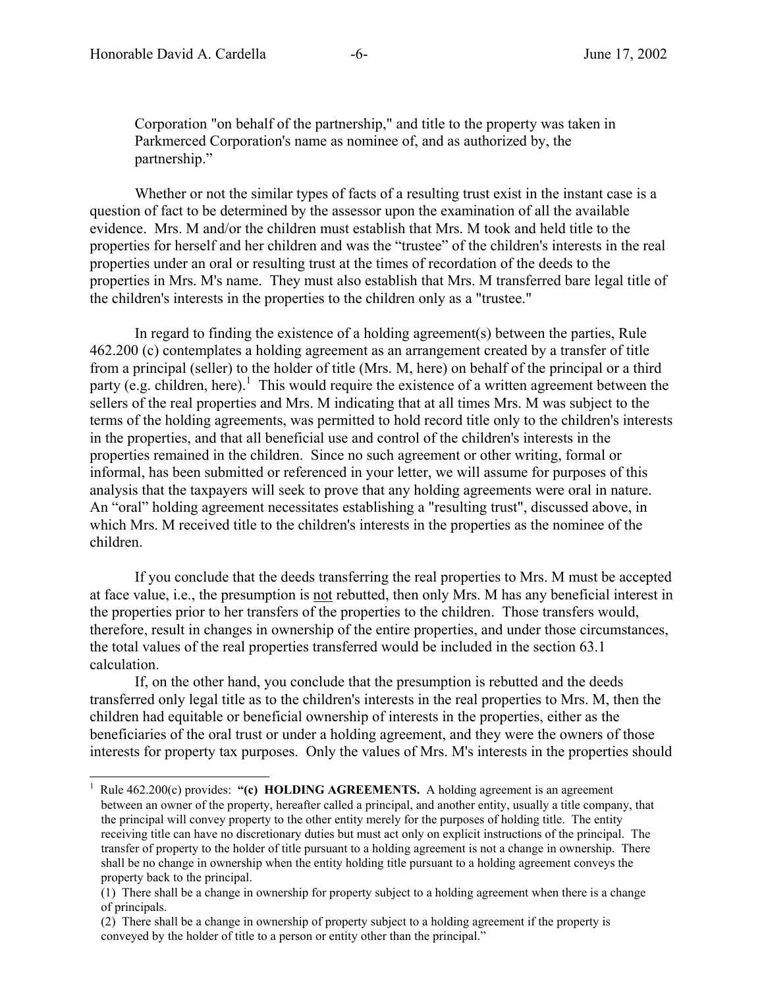$\overline{a}$ 

Corporation "on behalf of the partnership," and title to the property was taken in Parkmerced Corporation's name as nominee of, and as authorized by, the partnership."

Whether or not the similar types of facts of a resulting trust exist in the instant case is a question of fact to be determined by the assessor upon the examination of all the available evidence. Mrs. M and/or the children must establish that Mrs. M took and held title to the properties for herself and her children and was the "trustee" of the children's interests in the real properties under an oral or resulting trust at the times of recordation of the deeds to the properties in Mrs. M's name. They must also establish that Mrs. M transferred bare legal title of the children's interests in the properties to the children only as a "trustee."

In regard to finding the existence of a holding agreement(s) between the parties, Rule 462.200 (c) contemplates a holding agreement as an arrangement created by a transfer of title from a principal (seller) to the holder of title (Mrs. M, here) on behalf of the principal or a third party (e.g. children, here).<sup>1</sup> This would require the existence of a written agreement between the sellers of the real properties and Mrs. M indicating that at all times Mrs. M was subject to the terms of the holding agreements, was permitted to hold record title only to the children's interests in the properties, and that all beneficial use and control of the children's interests in the properties remained in the children. Since no such agreement or other writing, formal or informal, has been submitted or referenced in your letter, we will assume for purposes of this analysis that the taxpayers will seek to prove that any holding agreements were oral in nature. An "oral" holding agreement necessitates establishing a "resulting trust", discussed above, in which Mrs. M received title to the children's interests in the properties as the nominee of the children.

If you conclude that the deeds transferring the real properties to Mrs. M must be accepted at face value, i.e., the presumption is not rebutted, then only Mrs. M has any beneficial interest in the properties prior to her transfers of the properties to the children. Those transfers would, therefore, result in changes in ownership of the entire properties, and under those circumstances, the total values of the real properties transferred would be included in the section 63.1 calculation.

If, on the other hand, you conclude that the presumption is rebutted and the deeds transferred only legal title as to the children's interests in the real properties to Mrs. M, then the children had equitable or beneficial ownership of interests in the properties, either as the beneficiaries of the oral trust or under a holding agreement, and they were the owners of those interests for property tax purposes. Only the values of Mrs. M's interests in the properties should

<sup>1</sup> Rule 462.200(c) provides: **"(c) HOLDING AGREEMENTS.** A holding agreement is an agreement between an owner of the property, hereafter called a principal, and another entity, usually a title company, that the principal will convey property to the other entity merely for the purposes of holding title. The entity receiving title can have no discretionary duties but must act only on explicit instructions of the principal. The transfer of property to the holder of title pursuant to a holding agreement is not a change in ownership. There shall be no change in ownership when the entity holding title pursuant to a holding agreement conveys the property back to the principal.

<sup>(1)</sup> There shall be a change in ownership for property subject to a holding agreement when there is a change of principals.

<sup>(2)</sup> There shall be a change in ownership of property subject to a holding agreement if the property is conveyed by the holder of title to a person or entity other than the principal."